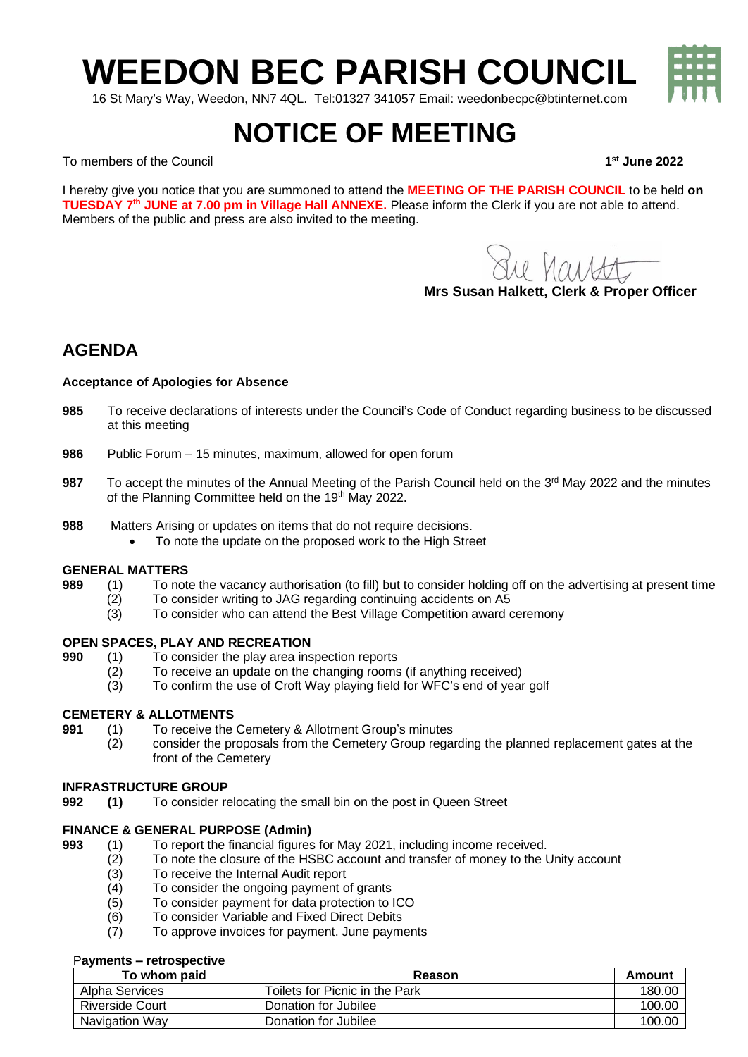# **WEEDON BEC PARISH COUNCIL**

16 St Mary's Way, Weedon, NN7 4QL. Tel:01327 341057 Email: weedonbecpc@btinternet.com

## **NOTICE OF MEETING**

To members of the Council **1**

I hereby give you notice that you are summoned to attend the **MEETING OF THE PARISH COUNCIL** to be held **on TUESDAY 7 th JUNE at 7.00 pm in Village Hall ANNEXE.** Please inform the Clerk if you are not able to attend. Members of the public and press are also invited to the meeting.

re harst

**Mrs Susan Halkett, Clerk & Proper Officer**

### **AGENDA**

#### **Acceptance of Apologies for Absence**

- **985** To receive declarations of interests under the Council's Code of Conduct regarding business to be discussed at this meeting
- **986** Public Forum 15 minutes, maximum, allowed for open forum
- 987 To accept the minutes of the Annual Meeting of the Parish Council held on the 3<sup>rd</sup> May 2022 and the minutes of the Planning Committee held on the 19<sup>th</sup> May 2022.
- **988** Matters Arising or updates on items that do not require decisions.
	- To note the update on the proposed work to the High Street

#### **GENERAL MATTERS**

- **989** (1) To note the vacancy authorisation (to fill) but to consider holding off on the advertising at present time
	- (2) To consider writing to JAG regarding continuing accidents on A5<br>(3) To consider who can attend the Best Village Competition award of
	- To consider who can attend the Best Village Competition award ceremony

### **OPEN SPACES, PLAY AND RECREATION**<br>**990** (1) To consider the play area ins

- **990** (1) To consider the play area inspection reports
- (2) To receive an update on the changing rooms (if anything received)
- (3) To confirm the use of Croft Way playing field for WFC's end of year golf

#### **CEMETERY & ALLOTMENTS**

- **991** (1) To receive the Cemetery & Allotment Group's minutes
	- (2) consider the proposals from the Cemetery Group regarding the planned replacement gates at the front of the Cemetery

#### **INFRASTRUCTURE GROUP**

**992 (1)** To consider relocating the small bin on the post in Queen Street

#### **FINANCE & GENERAL PURPOSE (Admin)**

- **993** (1) To report the financial figures for May 2021, including income received.
	- (2) To note the closure of the HSBC account and transfer of money to the Unity account
	- (3) To receive the Internal Audit report
	- (4) To consider the ongoing payment of grants
	- (5) To consider payment for data protection to ICO
	- (6) To consider Variable and Fixed Direct Debits
	- (7) To approve invoices for payment. June payments

#### P**ayments – retrospective**

| To whom paid           | Reason                         | Amount |
|------------------------|--------------------------------|--------|
| Alpha Services         | Toilets for Picnic in the Park | 180.00 |
| <b>Riverside Court</b> | Donation for Jubilee           | 100.00 |
| Navigation Way         | Donation for Jubilee           | 100.00 |



**st June 2022**